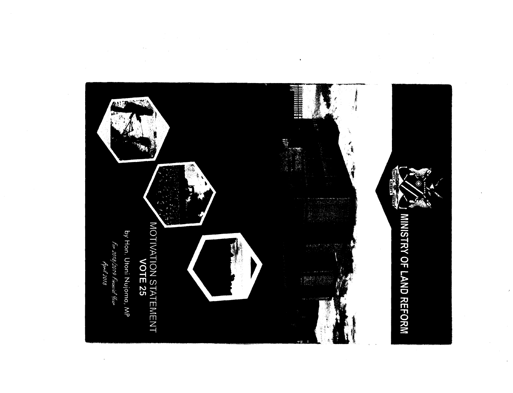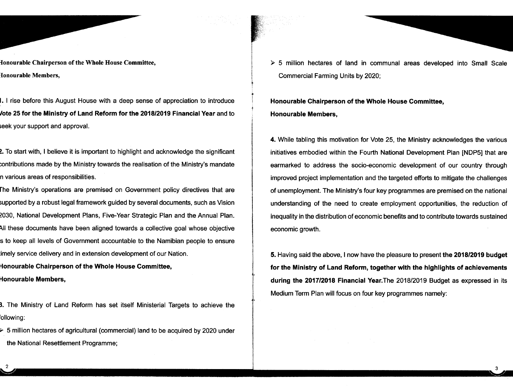fonourable Chairperson of the Whole House Committee, fonourable Members,

I. I rise before this August House with a deep sense of appreciation to introduce *lote* 25 for the Ministry of Land Reform for the *2018/2019* Financial Year and to seek your support and approval.

2. To start with, I believe it is important to highlight and acknowledge the significant contributlons made by the Ministry towards the realisation of the Ministry's mandate n various areas of responsibilities.

rhe Ministry's operations are premised on Government policy directives that are supported by a robust legal framework guided by several documents, such as Vision 2030, National Development Plans, Five-Year Strategic Plan and the Annual Plan. All these documents have been aligned towards a collective goal whose objective s to keep all levels of Government accountable to the Namibian people to ensure :imely service delivery and in extension development of our Nation.

Honourable Chairperson of the Whole House Committee, Honourable Members,

3. The Ministry of Land Reform has set itself Ministerial Targets to achieve the 'ollowing:

 $\geq 5$  million hectares of agricultural (commercial) land to be acquired by 2020 under the National Resettlement Programme;

> 5 million hectares of land in communal areas developed into Small Scale Commercial Farming Units by 2020;

Honourable Chairperson of the Whole House Committee, Honourable Members,

4. While tabling this motivation for Vote 25, the Ministry acknowledges the various initiatives embodied within the Fourth National Development Plan [NDP5] that are earmarked to address the socio-economic development of our country through improved project implementation and the targeted efforts to mitigate the challenges of unemployment. The Ministry's four key programmes are premised on the national understanding of the need to create employment opportunities, the reduction of inequality in the distribution of economic benefits and to contribute towards sustained economic growth.

5. Having said the above, I now have the pleasure to present the *2018/2019* budget for the Ministry of Land Reform, together with the highlights of achievements during the *2017/2018* Financial Year.The *2018/2019* Budget as expressed in its Medium Term Plan will focus on four key programmes namely:

3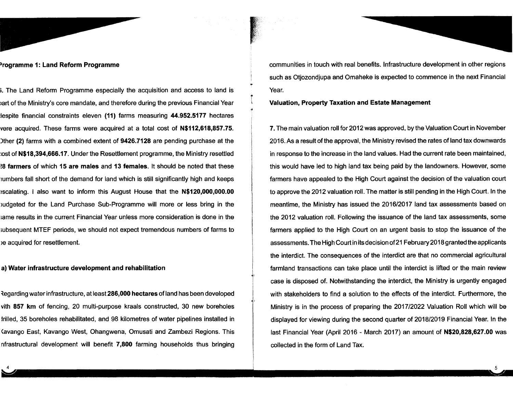#### )rogramme 1: Land Reform Programme

i. The Land Reform Programme especially the acquisition and access to land is iart of the Ministry's core mandate, and therefore during the previous Financial Year lespite financial constraints eleven (11) farms measuring 44.952.5177 hectares vere acquired. These farms were acquired at a total cost of **N\$112,618,857.75**. )ther (2) farms with a combined extent of 9426.7128 are pending purchase at the :ost of N\$18,394,666.17. Under the Resettlement programme, the Ministry resettled !8 farmers of which 15 are males and 13 females. It should be noted that these lumbers fall short of the demand for land which is still significantly high and keeps sscalatinq. I also want to inform this August House that the N\$120,000,000.00 iudqeted for the Land Purchase Sub-Programme will more or less bring in the iarne results in the current Financial Year unless more consideration is done in the subsequent MTEF periods, we should not expect tremendous numbers of farms to )e acquired for resettlement.

## a) Water infrastructure development and rehabilitation

~egarding water infrastructure, at least 286,000 hectares of land has been developed vith 857 km of fencing, 20 multi-purpose kraals constructed, 30 new boreholes Irilled, 35 boreholes rehabilitated, and 98 kilometres of water pipelines installed in Kavango East, Kavango West, Ohangwena, Omusati and Zambezi Regions. This nfrastructural development will benefit 7,800 farming households thus bringing

communities in touch with real benefits. Infrastructure development in other regions such as Otjozondjupa and Omaheke is expected to commence in the next Financial Year.

## Valuation, Property Taxation and Estate Management

i L

> 7. The main valuation roll for 2012 was approved, by the Valuation Court in November 2016. As a result of the approval, the Ministry revised the rates of land tax downwards in response to the increase in the land values. Had the current rate been maintained, this would have led to high land tax being paid by the landowners. However, some farmers have appealed to the High Court against the decision of the valuation court to approve the 2012 valuation roll. The matter is still pending in the High Court. In the meantime, the Ministry has issued the 2016/2017 land tax assessments based on the 2012 valuation roll. Following the issuance of the land tax assessments, some farmers applied to the High Court on an urgent basis to stop the issuance of the assessments. The High Court in its decision of21 February 2018 granted the applicants the interdict. The consequences of the interdict are that no commercial agricultural farmland transactions can take place until the interdict is lifted or the main review case is disposed of. Notwithstanding the interdict, the Ministry is urgently engaged with stakeholders to find a solution to the effects of the interdict. Furthermore, the Ministry is in the process of preparing the 2017/2022 Valuation Roll which will be displayed for viewing during the second quarter of 2018/2019 Financial Year. In the last Financial Year (April 2016 - March 2017) an amount of N\$20,828,627.00 was collected in the form of Land Tax.

> > 5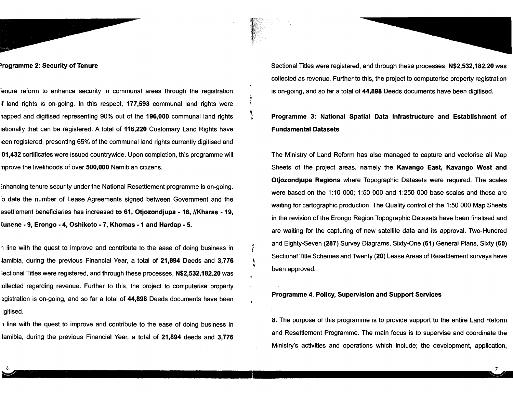#### )rogramme 2: Security of Tenure

'enure reform to enhance security in communal areas through the registration If land rights is on-going. In this respect, 177,593 communal land rights were napped and digitised representing 90% out of the 196,000 communal land rights rationally that can be registered. A total of 116,220 Customary Land Rights have leen registered, presenting 65% of the communal land rights currently digitised and 01,432 certificates were issued countrywide. Upon completion, this programme will nprove the livelihoods of over 500,000 Namibian citizens.

Y.

:nhancing tenure security under the National Resettlement programme is on-going. ·0 date the number of Lease Agreements signed between Government and the esettlement beneficiaries has increased to 61, Otjozondjupa - 16, IIKharas - 19, tunene - 9, Erongo - 4, Oshikoto -7, Khomas -1 and Hardap - 5.

, line with the quest to improve and contribute to the ease of doing business in lamibia, during the previous Financial Year, a total of  $21,894$  Deeds and  $3,776$ iectional Titles were registered, and through these processes, N\$2,532,182.20 was ollected regarding revenue. Further to this, the project to computerise property egistration is on-going, and so far a total of 44,898 Deeds documents have been ligitised.

1 line with the quest to improve and contribute to the ease of doing business in lamibia, during the previous Financial Year, a total of 21,894 deeds and 3,776 Sectional Titles were registered, and through these processes, N\$2,532,182.20 was collected as revenue. Further to this, the project to computerise property registration is on-going, and so far a total of 44,898 Deeds documents have been digitised.

# Programme 3: National Spatial Data Infrastructure and Establishment of Fundamental Datasets

The Ministry of Land Reform has also managed to capture and vectorise all Map Sheets of the project areas, namely the Kavango East, Kavango West and Otjozondjupa Regions where Topographic Datasets were required. The scales were based on the 1:10 000; 1:50 000 and 1:250 000 base scales and these are waiting for cartographic production. The Quality control of the 1:50000 Map Sheets in the revision of the Erongo Region Topographic Datasets have been finalised and are waiting for the capturing of new satellite data and its approval. Two-Hundred and Eighty-Seven (287) Survey Diagrams, Sixty-One (61) General Plans, Sixty (60) Sectional Title Schemes and Twenty (20) Lease Areas of Resettlement surveys have been approved.

### Programme 4. Policy, Supervision and Support Services

8. The purpose of this programme is to provide support to the entire Land Reform and Resettlement Programme. The main focus is to supervise and coordinate the Ministry's activities and operations which include; the development, application,